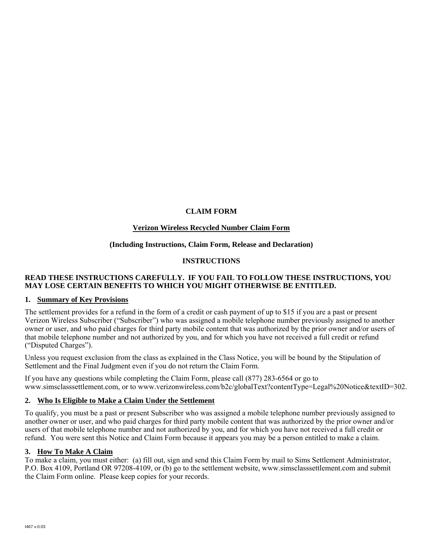# **CLAIM FORM**

# **Verizon Wireless Recycled Number Claim Form**

# **(Including Instructions, Claim Form, Release and Declaration)**

# **INSTRUCTIONS**

## **READ THESE INSTRUCTIONS CAREFULLY. IF YOU FAIL TO FOLLOW THESE INSTRUCTIONS, YOU MAY LOSE CERTAIN BENEFITS TO WHICH YOU MIGHT OTHERWISE BE ENTITLED.**

## **1. Summary of Key Provisions**

The settlement provides for a refund in the form of a credit or cash payment of up to \$15 if you are a past or present Verizon Wireless Subscriber ("Subscriber") who was assigned a mobile telephone number previously assigned to another owner or user, and who paid charges for third party mobile content that was authorized by the prior owner and/or users of that mobile telephone number and not authorized by you, and for which you have not received a full credit or refund ("Disputed Charges").

Unless you request exclusion from the class as explained in the Class Notice, you will be bound by the Stipulation of Settlement and the Final Judgment even if you do not return the Claim Form.

If you have any questions while completing the Claim Form, please call (877) 283-6564 or go to www.simsclasssettlement.com, or to www.verizonwireless.com/b2c/globalText?contentType=Legal%20Notice&textID=302.

# **2. Who Is Eligible to Make a Claim Under the Settlement**

To qualify, you must be a past or present Subscriber who was assigned a mobile telephone number previously assigned to another owner or user, and who paid charges for third party mobile content that was authorized by the prior owner and/or users of that mobile telephone number and not authorized by you, and for which you have not received a full credit or refund. You were sent this Notice and Claim Form because it appears you may be a person entitled to make a claim.

## **3. How To Make A Claim**

To make a claim, you must either: (a) fill out, sign and send this Claim Form by mail to Sims Settlement Administrator, P.O. Box 4109, Portland OR 97208-4109, or (b) go to the settlement website, www.simsclasssettlement.com and submit the Claim Form online. Please keep copies for your records.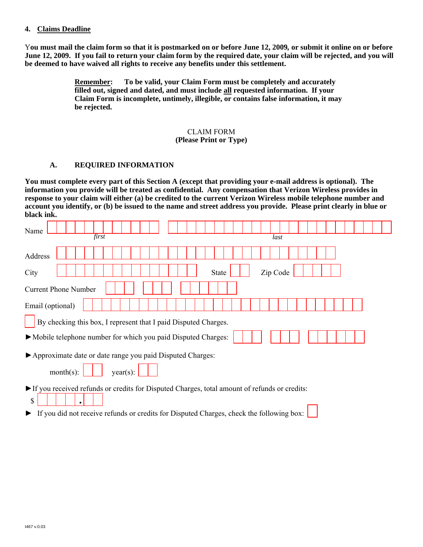#### **4. Claims Deadline**

Y**ou must mail the claim form so that it is postmarked on or before June 12, 2009***,* **or submit it online on or before June 12, 2009. If you fail to return your claim form by the required date, your claim will be rejected, and you will be deemed to have waived all rights to receive any benefits under this settlement.**

> **Remember: To be valid, your Claim Form must be completely and accurately filled out, signed and dated, and must include all requested information. If your Claim Form is incomplete, untimely, illegible, or contains false information, it may be rejected.**

## CLAIM FORM **(Please Print or Type)**

# **A. REQUIRED INFORMATION**

**You must complete every part of this Section A (except that providing your e-mail address is optional). The information you provide will be treated as confidential. Any compensation that Verizon Wireless provides in response to your claim will either (a) be credited to the current Verizon Wireless mobile telephone number and account you identify, or (b) be issued to the name and street address you provide. Please print clearly in blue or black ink.** 

| Name<br>first                                                                                      | last                     |  |  |  |  |  |
|----------------------------------------------------------------------------------------------------|--------------------------|--|--|--|--|--|
| Address                                                                                            |                          |  |  |  |  |  |
| City                                                                                               | Zip Code<br><b>State</b> |  |  |  |  |  |
| <b>Current Phone Number</b>                                                                        |                          |  |  |  |  |  |
| Email (optional)                                                                                   |                          |  |  |  |  |  |
| By checking this box, I represent that I paid Disputed Charges.                                    |                          |  |  |  |  |  |
| • Mobile telephone number for which you paid Disputed Charges:                                     |                          |  |  |  |  |  |
| Approximate date or date range you paid Disputed Charges:                                          |                          |  |  |  |  |  |
| $month(s)$ :<br>year(s):                                                                           |                          |  |  |  |  |  |
| If you received refunds or credits for Disputed Charges, total amount of refunds or credits:<br>\$ |                          |  |  |  |  |  |
| If you did not receive refunds or credits for Disputed Charges, check the following box:           |                          |  |  |  |  |  |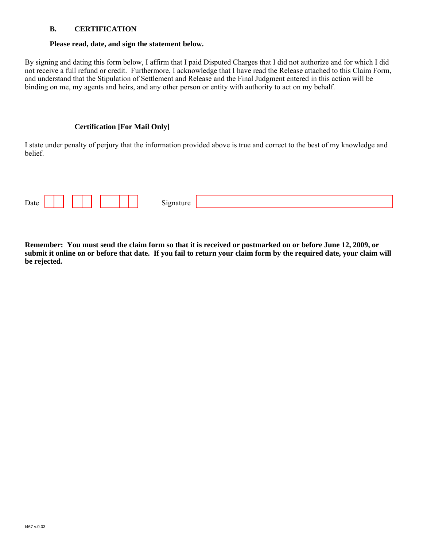# **B. CERTIFICATION**

#### **Please read, date, and sign the statement below.**

By signing and dating this form below, I affirm that I paid Disputed Charges that I did not authorize and for which I did not receive a full refund or credit. Furthermore, I acknowledge that I have read the Release attached to this Claim Form, and understand that the Stipulation of Settlement and Release and the Final Judgment entered in this action will be binding on me, my agents and heirs, and any other person or entity with authority to act on my behalf.

## **Certification [For Mail Only]**

I state under penalty of perjury that the information provided above is true and correct to the best of my knowledge and belief.

| $\mathbf{r}$<br>Date |  | $\sim$ |  |
|----------------------|--|--------|--|
|                      |  |        |  |

**Remember: You must send the claim form so that it is received or postmarked on or before June 12, 2009, or submit it online on or before that date. If you fail to return your claim form by the required date, your claim will be rejected.**